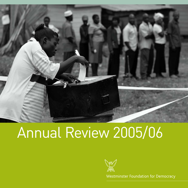

# Annual Review 2005/06



Westminster Foundation for Democracy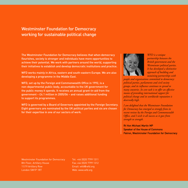# Westminster Foundation for Democracy working for sustainable political change

The Westminster Foundation for Democracy believes that when democracy flourishes, society is stronger and individuals have more opportunities to achieve their potential. We work with partners around the world, supporting their initiatives to establish and develop democratic institutions and practice.

WFD works mainly in Africa, eastern and south-eastern Europe. We are also developing a programme in the Middle East.

WFD, set up by the Foreign and Commonwealth Office in 1992, is a non-departmental public body, accountable to the UK government for the public money it spends. It receives an annual grant-in-aid from the government – £4.1 million in 2005/06 – and raises additional funding to support its programmes.

WFD is governed by a Board of Governors appointed by the Foreign Secretary. Eight governors are nominated by the UK political parties and six are chosen for their expertise in one of our sectors of work.



*WFD is a unique partnership between the British government and the Westminster political parties. It has developed a distinctive approach of building and sustaining partnerships with*

*people and organisations committed to democracy: political parties, parliaments and civil society groups, and its influence continues to spread to many countries. Its core task is to offer an effective means of providing international support for political change and its worldwide reputation is deservedly high.* 

*I am delighted that the Westminster Foundation for Democracy has emerged so strongly from its recent review by the Foreign and Commonwealth Office, and I wish it all success as it goes from strength to strength.*

Rt Hon Michael Martin MP Speaker of the House of Commons Patron, Westminster Foundation for Democracy

Westminster Foundation for Democracy 8th Floor, Artillery House 11/19 Artillery Row London SW1P 1RT

Tel: +44 (0)20 7799 1311 Fax:+44 (0)20 7799 1312 Email: wfd@wfd.org Web: www.wfd.org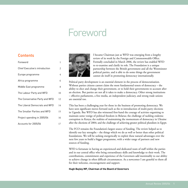# Foreword

# **Contents**

| Foreword                       | 1              |
|--------------------------------|----------------|
| Chief Executive's introduction | $\overline{c}$ |
| Europe programme               | 4              |
| Africa programme               | 6              |
| Middle East programme          | 8              |
| The Labour Party and WFD       | 10             |
| The Conservative Party and WFD | 12             |
| The Liberal Democrats and WFD  | 14             |
| The Smaller Parties and WFD    | 15             |
| Project spending in 2005/06    | 16             |
| Accounts for 2005/06           | 17             |



I became Chairman just as WFD was emerging from a lengthy review of its work by the Foreign and Commonwealth Office. Formally concluded in March 2006, the review has enabled WFD to re-examine and clarify its role. The Foundation is a unique partnership between the British government and all the Westminster political parties, and is able to do some things the government cannot do itself in promoting democracy internationally.

Political party development is an essential element in the process of democratisation. Without parties citizens cannot claim the most fundamental tenets of democracy – the ability to elect and change their government, or to hold their governments to account after an election. But parties are not all it takes to make a democracy. Other strong institutions – effective parliaments, a free media, an independent judiciary, and strong trade unions are essential too.

This has been a challenging year for those in the business of promoting democracy. We have seen significant moves forward such as the re-introduction of multi-party elections in Uganda. But WFD has also witnessed first-hand the courage of activists organising to maintain some vestige of political freedom in Belarus; the challenge of tackling endemic corruption in Kenya; the realities of maintaining the momentum of democracy in Ukraine after the elections of 2004; and the challenge of achieving greater political pluralism in Egypt.

The FCO remains the Foundation's largest source of funding. The review helped us to identify our key strengths – the things which we do as well or better than other political foundations. We will be seeking energetically to exploit these natural advantages over the next few years to build a bigger programme, with a wider range of partners and new sources of funding.

WFD is fortunate in having an experienced and dedicated team of staff within the parties and in our central office who bring extraordinary skills and knowledge to their work. The contributions, commitment and experience of the Governors add inestimably to our ability to achieve change in often difficult circumstances. As a newcomer I am grateful to them all for their welcome, encouragement and support.

#### **Hugh Bayley MP, Chairman of the Board of Governors**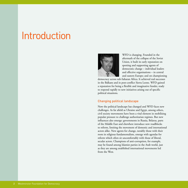# Introduction



WFD is changing. Founded in the aftermath of the collapse of the Soviet Union, it built its early reputation on spotting and supporting agents of democratic change – individual leaders and effective organisations – in central and eastern Europe; and on championing

democracy across sub-Saharan Africa. It achieved real successes in the Balkans and in post-conflict Sierra Leone. WFD gained a reputation for being a flexible and imaginative funder, ready to respond rapidly to new initiatives arising out of specific political situations.

# Changing political landscape

Now the political landscape has changed and WFD faces new challenges. As far afield as Ukraine and Egypt, among others, civil society movements have been a vital element in mobilising popular pressure to challenge authoritarian regimes. But new influences also emerge: governments in Russia, Belarus, parts of the Middle East and elsewhere introduce new roadblocks to reform, limiting the movement of domestic and international actors alike. New agents for change, notably those with their roots in religious fundamentalism, emerge with agendas for reform which often sit uncomfortably with those of liberal, secular actors. Champions of anti-corruption, for example, may be found among Islamist parties in the Arab world, just as they are among established international movements led from the West.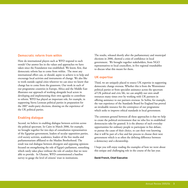#### Democratic reform from within

How do international players such as WFD respond to such trends? Our answer lies in the values and approaches we have taken since the Foundation was established. We know, first, that democratic reform has to come from within. The most any international effort can, or should, aspire to achieve is to help and encourage local activists and instruments of change. We also like to work outside capital cities wherever we can since we know that change has to come from the grassroots. Our work in each of our programme countries in Europe, Africa and the Middle East illustrates our approach of working alongside local actors in developing and implementing their own agendas to contribute to reform. WFD has played an important role, for example, in supporting Sierra Leonean political parties in preparation for the 2007 multi-party elections, drawing on the experience of the UK political parties.

#### Enabling dialogue

Second, we believe in enabling dialogue between activists across the political spectrum. In Cairo in March 2006, for example, we brought together for two days of consultation representatives of the Egyptian government, leaders of secular opposition parties, civil society activists, academics, leaders of the free media and parliamentarians affiliated to the Muslim Brotherhood. The result was real dialogue between divergent and opposing opinions focused on strengthening the role of Egypt's parliament, something which rarely takes place without the role of catalyst that we were able to provide. In Ukraine, WFD commissioned a baseline survey to gauge the level of citizens' trust in institutions.

The results, released shortly after the parliamentary and municipal elections in 2006, showed a crisis of confidence in local government. We brought together stakeholders, from NGO representatives to local councillors, in five regional roundtables to discuss what this meant for them.

#### UK expertise

Third, we are uniquely placed to source UK expertise in supporting democratic change overseas. Whether this is from the Westminster political parties or from specialist assistance across the spectrum of UK political and civic life, we can amplify our own small resources many times over by working with UK partners in offering assistance to our partners overseas. In Serbia, for example, the vast experience of the Standards Board for England has proved an invaluable resource for the centrepiece of our programme which seeks to improve ethical standards in local government.

The common ground between all these approaches is that we help to create the political environment that we who live in established democracies take for granted. It is the absence of such everyday opportunities for ordinary people to participate in free debate, to pursue the cause of their choice, to cast their vote knowing that it will be part of a free and fair process to choose their next government which is so often the defining difference between a democracy and a dictatorship.

I hope you will enjoy reading the examples of how we went about this unique and challenging role in the course of the last year.

#### **David French, Chief Executive**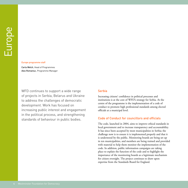#### Europe programme staff

Carla Welch, Head of Programmes Alex Romaniuc, Programme Manager

WFD continues to support a wide range of projects in Serbia, Belarus and Ukraine to address the challenges of democratic development. Work has focused on increasing public interest and engagement in the political process, and strengthening standards of behaviour in public bodies.

#### **Serbia**

Increasing citizens' confidence in political processes and institutions is at the core of WFD's strategy for Serbia. At the centre of the programme is the implementation of a code of conduct to promote high professional standards among elected officials at a municipal level.

#### Code of Conduct for councillors and officials

The code, launched in 2004, aims to improve ethical standards in local government and to increase transparency and accountability. It has since been accepted by most municipalities in Serbia; the challenge now is to ensure it is implemented properly and that it is understood by the public. Monitoring boards are being set up in ten municipalities, and members are being trained and provided with material to help them monitor the implementation of the code. In addition, public information campaigns are taking place to explain the function of the code and to highlight the importance of the monitoring boards as a legitimate mechanism for citizen oversight. The project continues to draw upon expertise from the Standards Board for England.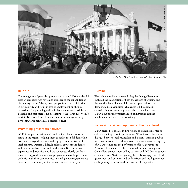

#### Belarus

The emergence of youth-led protests during the 2006 presidential election campaign was refreshing evidence of the capabilities of civil society. Yet in Belarus, many people fear that participation in civic activity will result in loss of employment or physical repression. The prevailing feeling is that change isn't possible or desirable and that there is no alternative to the status quo. WFD's work in Belarus is focused on tackling this disengagement by developing civic activism at a grassroots level.

# Promoting grassroots activism

WFD is supporting skilled civic and political leaders who are active in the regions, helping them to realise their full leadership potential, enlarge their teams and engage citizens in issues of local concern. Despite a difficult political environment, leaders and their teams have met inside and outside Belarus to share experience and expertise, and have cooperated closely on their activities. Regional development programmes have helped leaders build ties with their communities. A small grants programme has encouraged community initiatives and outreach strategies.

# Ukraine

The public mobilisation seen during the Orange Revolution captured the imagination of both the citizens of Ukraine and the world at large. Though Ukraine was put back on the democratic path, significant challenges still lie ahead in consolidating its democracy, particularly at the local level. WFD is supporting projects aimed at increasing citizens' involvement in local decision-making.

# Increasing civic engagement at the local level

WFD decided to operate in five regions of Ukraine in order to enhance the impact of its programme. Work involves increasing dialogue between local councillors and citizens, initiating public meetings on issues of local importance and increasing the capacity of NGOs to monitor the performance of local government. A noticeable openness has been detected in these five regions. Councillors are now more willing to work with NGOs and support civic initiatives; NGOs are gaining the skills to engage with local government and business; and both citizens and local government are beginning to understand the benefits of cooperation.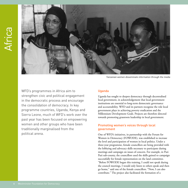

Tanzanian women disseminate information through the media

WFD's programmes in Africa aim to strengthen civic and political engagement in the democratic process and encourage the consolidation of democracy. In key programme countries, Uganda, Kenya and Sierra Leone, much of WFD's work over the past year has been focused on empowering women and other groups who have been traditionally marginalised from the political arena.

#### Uganda

Uganda has sought to deepen democracy through decentralised local government, in acknowledgement that local government institutions are essential to long-term democratic governance and accountability. WFD and its partners recognise the role local government plays in achieving poverty eradication and the Millennium Development Goals. Projects are therefore directed towards promoting grassroots leadership in local government.

# Promoting women's voices through local government

One of WFD's initiatives, in partnership with the Forum for Women in Democracy (FOWODE), was established to increase the level and participation of women in local politics. Under a three-year programme, female councillors are being provided with the lobbying and advocacy skills necessary to participate during meetings and campaign on issues of concern. For example, in Puti Puti sub-county, the councillors used the skills gained to campaign successfully for female representation on the land committee. "Before FOWODE began this training, I could not speak during the council meetings, I would only listen to others speak and then go home," said one of the female councillors. "Now, I can also contribute." The project also facilitated the formation of a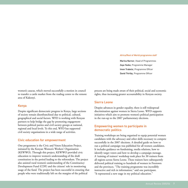#### Africa/Rest of World programme staff

Marina Narnor, Head of Programmes Zaya Yeebo, Programme Manager Imen Trabelsi, Programme Officer David Thirlby, Programme Officer

women's caucus, which moved successfully a motion in council to transfer a cattle market from the trading centre to the remote area of Kakonyi.

#### Kenya

Despite significant democratic progress in Kenya, large sections of society remain disenfranchised due to political, cultural, geographical and social factors. WFD is working with Kenyan partners to help bridge the gap by promoting engagement between political parties and civil society groups at national, regional and local levels. To this end, WFD has supported civil society organisations in a wide range of activities.

#### Civic education for empowerment

One programme is the Civic and Voters Education Project, initiated by the Kenyan Women's Workers' Organisation (KEWWO). Through this project, KEWWO provided civic education to improve women's understanding of the draft constitution in the period leading to the referendum. The project also assisted rural women's understanding of the Constituency Development Fund (CDF) and the citizens' role in monitoring usage of the fund. The project has been successful in ensuring that people who were traditionally left on the margins of the political

process are being made aware of their political, social and economic rights, thus increasing greater accountability in Kenyan society.

#### Sierra Leone

Despite advances in gender equality, there is still widespread discrimination against women in Sierra Leone. WFD supports initiatives which aim to promote women's political participation in the run-up to the 2007 parliamentary elections.

#### Empowering women to participate in democratic politics

Training workshops are being organised to equip potential women candidates with the advocacy and other skills necessary to compete successfully in the 2007 elections. A detailed guide on how to run a political campaign was published for all women candidates. It includes guidance on fundraising, media relations, how to identify target voters and how to develop a campaign message. A 'training of trainers' workshop took place for 30 trainers from all regions across Sierra Leone. These trainers have subsequently delivered political training to hundreds of women in Freetown and the provinces. "The training programme was incredibly instructive and rich in information," said one participant. "It represented a new stage in my political education."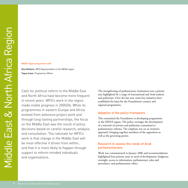#### MENA region programme staff

Dina Melhem, WFD Representative in the MENA region Taqua Imam, Programme Officer

Calls for political reform in the Middle East and North Africa have become more frequent in recent years. WFD's work in the region made visible progress in 2005/06. While its programmes in eastern Europe and Africa evolved from extensive project work and through long-lasting partnerships, the focus on the Middle East was the result of policy decisions based on careful research, analysis and consultation. The rationale for WFD's work is that change in the Middle East will be most effective if driven from within, and that it is more likely to happen through support to reform-minded individuals and organisations.

The strengthening of parliamentary institutions was a priority area highlighted by a range of international and Arab analysts and politicians. Over the last year, some key initiatives have established the basis for the Foundation's country and regional programmes.

#### Adoption of the policy framework

This committed the Foundation to developing programmes in the MENA region. The policy envisages the development of a network of activists and politicians committed to parliamentary reforms. The emphasis was on an inclusive approach, bringing together members of the opposition as well as the governing parties.

#### Research to assess the needs of Arab parliamentarians

Work was commissioned in January 2006 and recommendations highlighted four priority areas in need of development: budgetary oversight, access to information, parliamentary rules and procedures, and parliamentary ethics.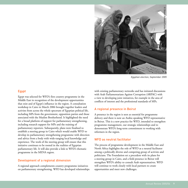

#### Egypt

Egypt was selected for WFD's first country programme in the Middle East in recognition of the development opportunities that exist and of Egypt's influence in the region. A consultation workshop in Cairo in March 2006 brought together leaders and activists from across the whole spectrum of Egyptian political life, including MPs from the government, opposition parties and those associated with the Muslim Brotherhood. It highlighted the need for a broad platform of support for parliamentary strengthening, including research support for MPs and the training of parliamentary reporters. Subsequently, plans were finalised to establish a steering group in Cairo which would enable WFD to develop its parliamentary strengthening programme with direction and advice from a body with wide-ranging local knowledge and experience. The work of the steering group will ensure that this initiative continues to be rooted in the realities of Egyptian parliamentary life. It will also provide a link to WFD's thematic programme in the MENA region.

#### Development of a regional dimension

A regional approach complements country programme initiatives on parliamentary strengthening. WFD has developed relationships with existing parliamentary networks and has initiated discussions with Arab Parliamentarians Against Corruption (ARPAC) with a view to developing joint initiatives, for example in the area of conflicts of interest and the professional standards of MPs.

#### A regional presence in Beirut

A presence in the region is seen as essential for programme delivery and there is now an Arabic-speaking WFD representative in Beirut. This is a new practice for WFD, intended to strengthen programme management, our strategic relationships and to demonstrate WFD's long-term commitment to working with reformers in the region.

#### WFD as neutral facilitator

The process of programme development in the Middle East and North Africa highlights the role of WFD as a neutral facilitator among a politically diverse and competing group of activists and politicians. The Foundation set a precedent with its plans for a steering group in Cairo, and a field presence in Beirut will strengthen WFD's ability to consult Arab representatives. WFD will continue to work closely with local partners to create opportunities and meet new challenges.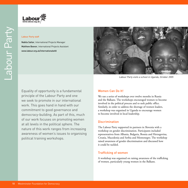

#### Labour Party staff

Nabila Sattar, International Projects Manager Matthew Beevor, International Projects Assistant www.labour.org.uk/internationalwfd



Labour Party visits a school in Uganda, October 2005

Equality of opportunity is a fundamental principle of the Labour Party and one we seek to promote in our international work. This goes hand in hand with our commitment to good governance and democracy-building. As part of this, much of our work focuses on promoting women at all levels in the political sphere. The nature of this work ranges from increasing awareness of women's issues to organising political training workshops.

#### Women Can Do It!

We ran a series of workshops over twelve months in Russia and the Balkans. The workshops encouraged women to become involved in the political process and to seek public office. Similarly, in order to address the shortage of women leaders, a workshop was organised in Uganda to encourage women to become involved in local leadership.

#### Discrimination

The Labour Party supported its partners in Slovenia with a workshop on gender discrimination. Participants included representatives from Albania, Bulgaria, Bosnia and Herzegovina, Croatia, Macedonia and Serbia and Montenegro. The workshop raised awareness of gender discrimination and discussed how it could be tackled.

#### Trafficking of women

A workshop was organised on raising awareness of the trafficking of women, particularly young women in the Balkans.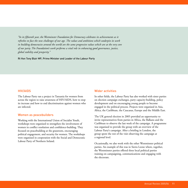*"In its fifteenth year, the Westminster Foundation for Democracy celebrates its achievements as it refreshes to face the new challenges of our age. The values and ambitions which underpin its work in building democracies around the world are the same progressive values which are at the very core of our party. The Foundation's work performs a vital role in enhancing good governance, justice, global stability and prosperity."*

Rt Hon Tony Blair MP, Prime Minister and Leader of the Labour Party

#### HIV/AIDS

The Labour Party ran a project in Tanzania for women from across the region to raise awareness of HIV/AIDS, how to stop its increase and how to end discrimination against women who are infected.

#### Women as peacebuilders

Working with the International Union of Socialist Youth, workshops were organised to strengthen the involvement of women in conflict resolution and confidence-building. They focused on peacebuilding at the grassroots, encouraging political engagement, and security for women. The workshops were organised in cooperation with the Social and Democratic Labour Party of Northern Ireland.

#### Wider activities

In other fields, the Labour Party has also worked with sister parties on election campaign exchanges, party capacity-building, policy development and on encouraging young people to become engaged in the political process. Projects were organised in Asia, Africa, the Caribbean, the Caucasus, Europe and the Middle East.

The UK general election in 2005 provided an opportunity to invite representatives from parties in Africa, the Balkans and the Caribbean to observe the last week of the campaign. A programme was organised to provide the group with an overview of the Labour Party's campaign. After a briefing in London, the group spent the rest of the visit observing the campaign at a regional level.

Occasionally, we also work with the other Westminster political parties. An example of this was in Sierra Leone where, together, the Westminster parties offered three local political parties training on campaigning, communications and engaging with the electorate.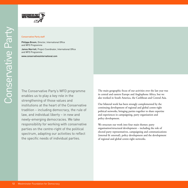

#### Conservative Party staff

Philippa Broom, Director, International Office and WFD Programme

James Marriott, Project Coordinator, International Office and WFD Programme

www.conservativesinternational.com

The Conservative Party's WFD programme enables us to play a key role in the strengthening of those values and institutions at the heart of the Conservative tradition – including democracy, the rule of law, and individual liberty – in new and newly-emerging democracies. We take responsibility for working with conservative parties on the centre-right of the political spectrum, adapting our activities to reflect the specific needs of individual parties.

The main geographic focus of our activities over the last year was in central and eastern Europe and Anglophone Africa, but we also worked in South America, the Caribbean and Central Asia.

Our bilateral work has been strongly complemented by the continuing development of regional and global centre-right political networks, bringing parties together to share expertise and experiences in campaigning, party organisation and policy development.

We structure our work into four main themes: party organisation/structural development – including the role of elected party representatives, campaigning and communications (internal & external), policy development and the development of regional and global centre-right networks.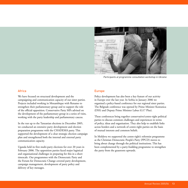

Participants at programme consultation workshop in Ukraine

#### Africa

We have focused on structural development and the campaigning and communication capacity of our sister parties. Projects included working in Mozambique with Renamo to strengthen their parliamentary group and to support the role of the official opposition. Conservative Party MPs advised on the development of the parliamentary group in a series of visits, working with the party leadership and parliamentary caucus.

In the run up to the Tanzanian elections in December 2005, we conducted an extensive party development and election preparation programme with the CHADEMA party. This supported the development of a clear strategic election campaign plan and strengthened both the internal and external party communication capacity.

Uganda held its first multi-party elections for over 20 years in February 2006. The opposition parties faced major logistical and organisational challenges in preparing for this in a short timescale. Our programmes with the Democratic Party and the Forum for Democratic Change covered party development, campaign management, development of party policy and delivery of key messages.

#### Europe

Policy development has also been a key feature of our activity in Europe over the last year. In Serbia in January 2006 we organised a policy-based conference for our regional sister parties. The Belgrade conference was opened by Prime Minister Kostunica (DSS) and Deputy Prime Minister Labus (G17 Plus).

These conferences bring together conservative/centre-right political parties to discuss common challenges and experiences in terms of policy, ideas and organisation. They also help to establish links across borders and a network of centre-right parties on the basis of mutual interests and common beliefs.

In Moldova we supported the centre-right's reformist programme as the Christian Democratic People's Party (PPCD) moves to bring about change through the political institutions. This has been complemented by a party-building programme to strengthen the party from the grassroots upwards.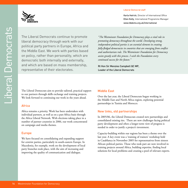#### Liberal Democrat staff



The Liberal Democrats continue to promote liberal democracy through work with our political party partners in Europe, Africa and the Middle East. We work with parties based on policy, rather than personality, which are democratic both internally and externally, and which are based on mass membership, representative of their electorates.

*"The Westminster Foundation for Democracy plays a vital role in promoting democracy throughout the world. Developing strong, independent political parties is an essential element in creating fully-fledged democracies in countries that are emerging from conflict and authoritarian rule. The Westminster Foundation for Democracy assists greatly with this process. I wish the Foundation every continued success for the future."* 

Rt Hon Sir Menzies Campbell QC MP, Leader of the Liberal Democrats

The Liberal Democrats aim to provide tailored, practical support to our partners through skills exchange and training projects. We look forward to continuing our work in the years ahead.

# Africa

Africa remains a priority. Work has been undertaken with individual partners, as well as on a pan-Africa basis through the Africa Liberal Network. With elections taking place in a number of partner countries in 2006, our work concentrated on campaign and media themes.

#### Europe

We have focused on consolidating and expanding support for centrist parties, particularly in south-eastern Europe. In Macedonia, for example, work on the development of local party branches took place, with the aim of increasing and improving the quality of communication and dialogue.

# Middle East

Over the last year, the Liberal Democrats began working in the Middle East and North Africa region, exploring potential partnerships in Tunisia and Morocco.

# New links, old partnerships

In 2005/06, the Liberal Democrats created new partnerships and consolidated existing ties. There are new challenges facing political party development and often a longer-term view of progress is needed in order to justify a project's investment.

Capacity-building within our regions has been a theme over the last year. A key event was a 'training of trainers' workshop held in Casablanca in November 2005 for representatives from sixteen African political parties. Those who took part are now involved in training projects around Africa, building expertise, finding local solutions for local problems and creating a pool of relevant experts.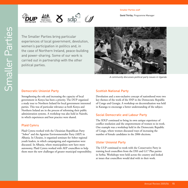#### Smaller Parties staff

David Thirlby, Programme Manager



The Smaller Parties bring particular experiences of local government, devolution, women's participation in politics and, in the case of Northern Ireland, peace-building and power-sharing. Some of our work is carried out in partnership with the other political parties.



A community discusses political party issues in Uganda

#### Democratic Unionist Party

Strengthening the role and increasing the capacity of local government in Kenya has been a priority. The DUP organised a study tour to Northern Ireland for local government interested parties. This was of particular relevance as both Kenya and Northern Ireland are in the process of reforming their public administration systems. A workshop was also held in Nairobi, in which experiences and best practice were shared.

#### Plaid Cymru

Plaid Cymru worked with the Ukrainian Republican Party "Sobor" and the Agrarian Environmentalist Party (AEP) in Albania. In Ukraine, it organised seminars for Sobor regional youth leaders, in which campaigning and organisation were discussed. In Albania, where municipalities now have more autonomy, Plaid Cymru worked with AEP councillors to help them meet the new challenges of greater municipal responsibility.

#### Scottish National Party

Devolution and a non-exclusive concept of nationhood were two key themes of the work of the SNP in the Democratic Republic of Congo and Georgia. A workshop on decentralisation was held in Katanga to encourage a better understanding of the subject.

#### Social Democratic and Labour Party

The SDLP continued to bring its own unique experience of conflict resolution and the empowerment of women to its work. One example was a workshop held in the Democratic Republic of Congo, where women discussed ways of increasing the number of female candidates in the 2006 elections.

#### Ulster Unionist Party

The UUP continued to work with the Conservative Party in training local councillors from the DSS and G17 Plus parties in Serbia. Workshops were held across the country and looked at issues that councillors would deal with in their work.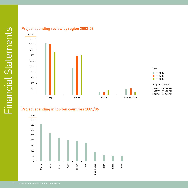

# Project spending in top ten countries 2005/06

![](_page_17_Figure_4.jpeg)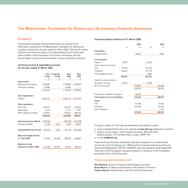# The Westminster Foundation for Democracy Ltd summary financial statements

# Foreword

The following summary financial statements are a précis of the information contained in The Westminster Foundation for Democracy Limited's accounts for the year ended 31 March 2006. They do not contain sufficient information to allow a full understanding of the results and state of affairs of the Foundation. For further information, the full Annual Report and Accounts and auditor's report should be consulted.

#### Summary income & expenditure account for the year ended 31 March 2006

|                                 | Core<br><b>Funds</b><br>£ | Corporate<br><b>Funds</b><br>£ | Total<br>2006<br>£ | Total<br>2005<br>£ |
|---------------------------------|---------------------------|--------------------------------|--------------------|--------------------|
| Gross income                    |                           |                                |                    |                    |
| HM Government grants            | 4,100,000                 |                                | 4,100,000          | 4,100,000          |
| Third party funding             | 45.984                    |                                | 45.984             |                    |
|                                 | 4,145,984                 |                                | 4,145,984          | 4,100,000          |
| <b>Direct Expenditure</b>       |                           |                                |                    |                    |
| Projects                        | 3,206,715                 |                                | 3,206,715          | 3,499,299          |
| Other expenditure               |                           |                                |                    |                    |
| Staff costs                     | 649,273                   |                                | 649,273            | 543,069            |
| Depreciation                    | 11.214                    |                                | 11.214             | 11,359             |
| Other operating charges         | 379.541                   |                                | 379.541            | 284.023            |
|                                 | 1,040,028                 |                                | 1,040,028          | 838,451            |
|                                 |                           |                                |                    |                    |
| Operating surplus/ (deficit)    | (100, 759)                |                                | (100.759)          | (237, 750)         |
| Interest receivable             | 6,128                     | 3.492                          | 9.620              | 10,965             |
| Surplus/(deficit) for the year  | [94.631]                  | 3.492                          | (91, 139)          | (226, 785)         |
| <b>Balances brought forward</b> |                           |                                |                    |                    |
| at 1 April 2005                 | 77,306                    | 161,456                        | 238,762            | 465,547            |
| <b>Balances carried</b>         |                           |                                |                    |                    |
| forward at 31 March 2006        | (17.325)                  | 164.948                        | 147,623            | 238,762            |

#### Summary balance sheet as at 31 March 2006

|                                       |         | 2006      |         | 2005    |
|---------------------------------------|---------|-----------|---------|---------|
|                                       | £       | £         | £       | £       |
| <b>Fixed assets</b>                   |         |           |         |         |
| Tangible assets                       |         | 26,556    |         | 6,504   |
| <b>Current assets</b>                 |         |           |         |         |
| Debtors                               | 58,357  |           | 35,205  |         |
| Cash at bank and in hand:             |         |           |         |         |
| Core                                  | 83,013  |           | 101,199 |         |
| Corporate                             | 165,461 |           | 161.970 |         |
| Extra-budgetary funds                 |         |           | 5,868   |         |
|                                       | 306.831 |           | 304.242 |         |
| Creditors: amounts falling            |         |           |         |         |
| due within one year                   | 90,771  |           | 71,984  |         |
| Net current assets                    |         | 216,060   |         | 232,258 |
|                                       |         | 242,616   |         | 238,762 |
| Provision for liabilities & charges   |         | 94,993    |         |         |
| Total assets less current liabilities |         | 147,623   |         | 238,762 |
| Funds                                 |         |           |         |         |
| Core                                  |         | (17, 325) |         | 75,533  |
| Corporate                             |         | 164,948   |         | 161,456 |
| Extra-budgetary                       |         |           |         | 1,773   |
|                                       |         | 147,623   |         | 238,762 |

It's easy to obtain our full financial statements and auditor's report:

- view or download them from our website at www.wfd.org (publications section)
- write for a free copy to: The Company Secretary, WFD, 8th Floor, Artillery House, 11/19 Artillery Row, London, SW1P 1RT
- e-mail wfd**@**wfd.org

These summary financial statements have been prepared in accordance with section 251 of the Companies Act 1985 and the Companies (Summary Financial Statement) Regulations 1995 (SI 1995/2092) and were signed by Hugh Bayley MP, Chairman of the Foundation, Georgina Ashworth, a Governor of the Foundation, and David French, Chief Executive.

#### Finance and administration staff

Bob Rainford, Director of Finance and Company Secretary Brian Merritt, IT Officer and Assistant to the Director of Finance Tamara Moluch, Administrator and PA to the Chief Executive